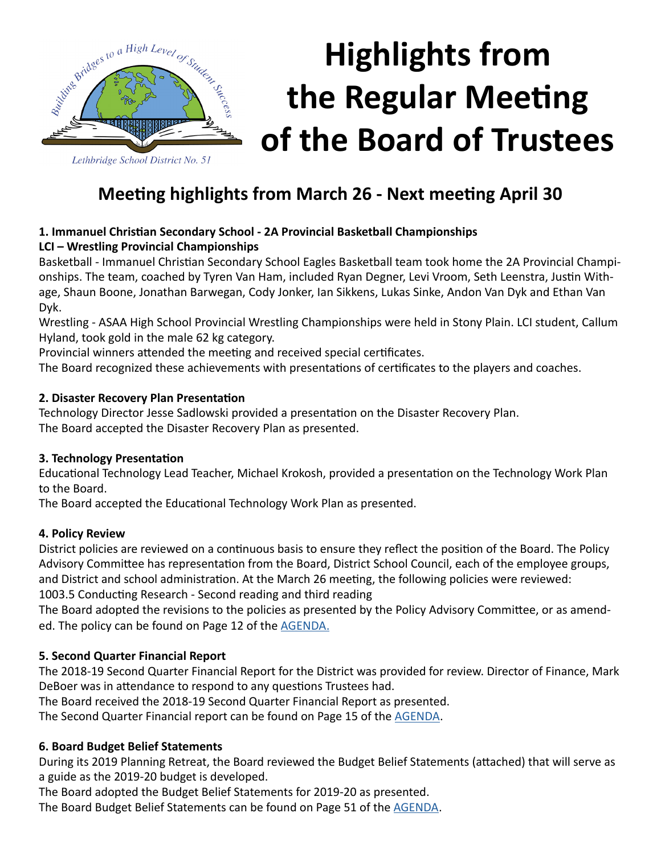

# **Highlights from the Regular Meeting of the Board of Trustees**

### **Meeting highlights from March 26 - Next meeting April 30**

#### **1. Immanuel Christian Secondary School - 2A Provincial Basketball Championships LCI – Wrestling Provincial Championships**

Basketball - Immanuel Christian Secondary School Eagles Basketball team took home the 2A Provincial Championships. The team, coached by Tyren Van Ham, included Ryan Degner, Levi Vroom, Seth Leenstra, Justin Withage, Shaun Boone, Jonathan Barwegan, Cody Jonker, Ian Sikkens, Lukas Sinke, Andon Van Dyk and Ethan Van Dyk.

Wrestling - ASAA High School Provincial Wrestling Championships were held in Stony Plain. LCI student, Callum Hyland, took gold in the male 62 kg category.

Provincial winners attended the meeting and received special certificates.

The Board recognized these achievements with presentations of certificates to the players and coaches.

#### **2. Disaster Recovery Plan Presentation**

Technology Director Jesse Sadlowski provided a presentation on the Disaster Recovery Plan. The Board accepted the Disaster Recovery Plan as presented.

#### **3. Technology Presentation**

Educational Technology Lead Teacher, Michael Krokosh, provided a presentation on the Technology Work Plan to the Board.

The Board accepted the Educational Technology Work Plan as presented.

#### **4. Policy Review**

District policies are reviewed on a continuous basis to ensure they reflect the position of the Board. The Policy Advisory Committee has representation from the Board, District School Council, each of the employee groups, and District and school administration. At the March 26 meeting, the following policies were reviewed: 1003.5 Conducting Research - Second reading and third reading

The Board adopted the revisions to the policies as presented by the Policy Advisory Committee, or as amended. The policy can be found on Page 12 of the [AGENDA.](http://www.lethsd.ab.ca/documents/general/2019-03-26%20Board%20Meeting%20Agenda.pdf)

#### **5. Second Quarter Financial Report**

The 2018-19 Second Quarter Financial Report for the District was provided for review. Director of Finance, Mark DeBoer was in attendance to respond to any questions Trustees had.

The Board received the 2018-19 Second Quarter Financial Report as presented.

The Second Quarter Financial report can be found on Page 15 of the [AGENDA.](http://www.lethsd.ab.ca/documents/general/2019-03-26%20Board%20Meeting%20Agenda.pdf)

#### **6. Board Budget Belief Statements**

During its 2019 Planning Retreat, the Board reviewed the Budget Belief Statements (attached) that will serve as a guide as the 2019-20 budget is developed.

The Board adopted the Budget Belief Statements for 2019-20 as presented.

The Board Budget Belief Statements can be found on Page 51 of the [AGENDA.](http://www.lethsd.ab.ca/documents/general/2019-03-26%20Board%20Meeting%20Agenda.pdf)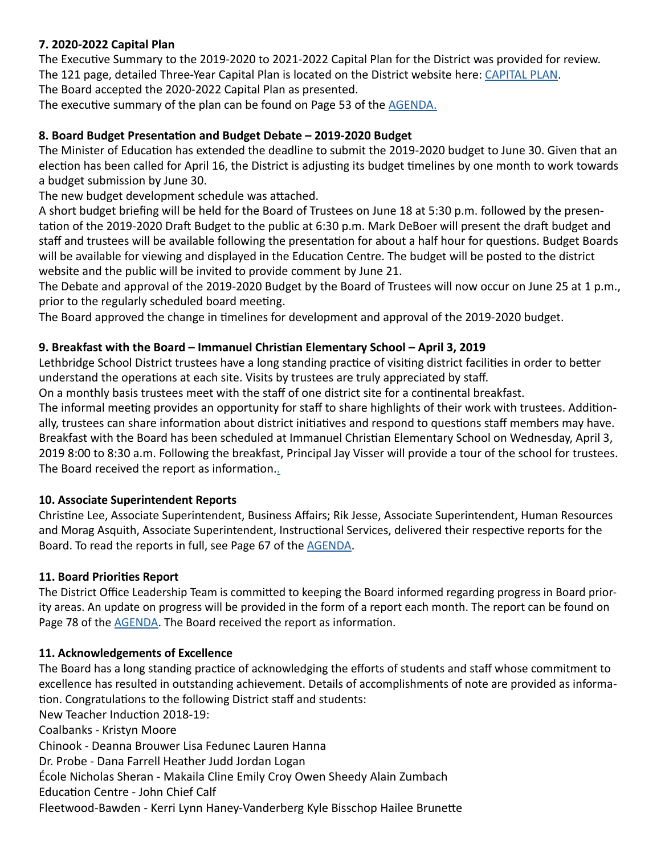#### **7. 2020-2022 Capital Plan**

The Executive Summary to the 2019-2020 to 2021-2022 Capital Plan for the District was provided for review. The 121 page, detailed Three-Year Capital Plan is located on the District website here: [CAPITAL PLAN.](http://www.lethsd.ab.ca/documents/general/Lethbridge%20School%20District%20No.%2051%20Three%20Year%20Capital%20Plan%202019-2020%20to%202021-2022.pdf) The Board accepted the 2020-2022 Capital Plan as presented.

The executive summary of the plan can be found on Page 53 of the [AGENDA.](http://www.lethsd.ab.ca/documents/general/2019-03-26%20Board%20Meeting%20Agenda.pdf)

#### **8. Board Budget Presentation and Budget Debate – 2019-2020 Budget**

The Minister of Education has extended the deadline to submit the 2019-2020 budget to June 30. Given that an election has been called for April 16, the District is adjusting its budget timelines by one month to work towards a budget submission by June 30.

The new budget development schedule was attached.

A short budget briefing will be held for the Board of Trustees on June 18 at 5:30 p.m. followed by the presentation of the 2019-2020 Draft Budget to the public at 6:30 p.m. Mark DeBoer will present the draft budget and staff and trustees will be available following the presentation for about a half hour for questions. Budget Boards will be available for viewing and displayed in the Education Centre. The budget will be posted to the district website and the public will be invited to provide comment by June 21.

The Debate and approval of the 2019-2020 Budget by the Board of Trustees will now occur on June 25 at 1 p.m., prior to the regularly scheduled board meeting.

The Board approved the change in timelines for development and approval of the 2019-2020 budget.

#### **9. Breakfast with the Board – Immanuel Christian Elementary School – April 3, 2019**

Lethbridge School District trustees have a long standing practice of visiting district facilities in order to better understand the operations at each site. Visits by trustees are truly appreciated by staff.

On a monthly basis trustees meet with the staff of one district site for a continental breakfast.

The informal meeting provides an opportunity for staff to share highlights of their work with trustees. Additionally, trustees can share information about district initiatives and respond to questions staff members may have. Breakfast with the Board has been scheduled at Immanuel Christian Elementary School on Wednesday, April 3, 2019 8:00 to 8:30 a.m. Following the breakfast, Principal Jay Visser will provide a tour of the school for trustees. The Board received the report as information.[.](http://www.lethsd.ab.ca/documents/general/2019-02-26%20Board%20Meeting%20Agenda.pdf)

#### **10. Associate Superintendent Reports**

Christine Lee, Associate Superintendent, Business Affairs; Rik Jesse, Associate Superintendent, Human Resources and Morag Asquith, Associate Superintendent, Instructional Services, delivered their respective reports for the Board. To read the reports in full, see Page 67 of the [AGENDA.](http://www.lethsd.ab.ca/documents/general/2019-03-26%20Board%20Meeting%20Agenda.pdf)

#### **11. Board Priorities Report**

The District Office Leadership Team is committed to keeping the Board informed regarding progress in Board priority areas. An update on progress will be provided in the form of a report each month. The report can be found on Page 78 of the [AGENDA.](http://www.lethsd.ab.ca/documents/general/2019-03-26%20Board%20Meeting%20Agenda.pdf) The Board received the report as information.

#### **11. Acknowledgements of Excellence**

The Board has a long standing practice of acknowledging the efforts of students and staff whose commitment to excellence has resulted in outstanding achievement. Details of accomplishments of note are provided as information. Congratulations to the following District staff and students: New Teacher Induction 2018-19: Coalbanks - Kristyn Moore Chinook - Deanna Brouwer Lisa Fedunec Lauren Hanna Dr. Probe - Dana Farrell Heather Judd Jordan Logan École Nicholas Sheran - Makaila Cline Emily Croy Owen Sheedy Alain Zumbach Education Centre - John Chief Calf Fleetwood-Bawden - Kerri Lynn Haney-Vanderberg Kyle Bisschop Hailee Brunette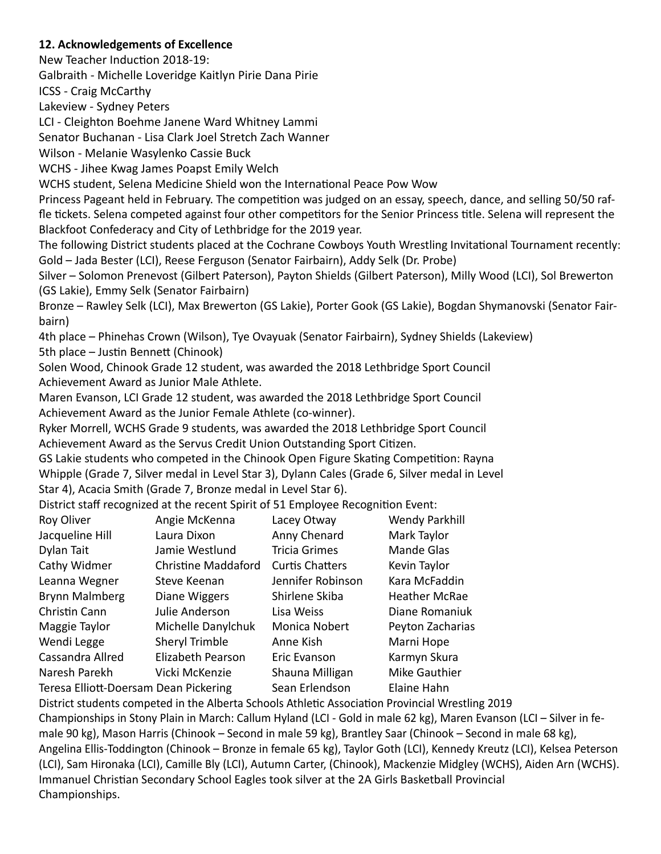#### **12. Acknowledgements of Excellence**

New Teacher Induction 2018-19:

Galbraith - Michelle Loveridge Kaitlyn Pirie Dana Pirie

ICSS - Craig McCarthy

Lakeview - Sydney Peters

LCI - Cleighton Boehme Janene Ward Whitney Lammi

Senator Buchanan - Lisa Clark Joel Stretch Zach Wanner

Wilson - Melanie Wasylenko Cassie Buck

WCHS - Jihee Kwag James Poapst Emily Welch

WCHS student, Selena Medicine Shield won the International Peace Pow Wow

Princess Pageant held in February. The competition was judged on an essay, speech, dance, and selling 50/50 raffle tickets. Selena competed against four other competitors for the Senior Princess title. Selena will represent the Blackfoot Confederacy and City of Lethbridge for the 2019 year.

The following District students placed at the Cochrane Cowboys Youth Wrestling Invitational Tournament recently: Gold – Jada Bester (LCI), Reese Ferguson (Senator Fairbairn), Addy Selk (Dr. Probe)

Silver – Solomon Prenevost (Gilbert Paterson), Payton Shields (Gilbert Paterson), Milly Wood (LCI), Sol Brewerton (GS Lakie), Emmy Selk (Senator Fairbairn)

Bronze – Rawley Selk (LCI), Max Brewerton (GS Lakie), Porter Gook (GS Lakie), Bogdan Shymanovski (Senator Fairbairn)

4th place – Phinehas Crown (Wilson), Tye Ovayuak (Senator Fairbairn), Sydney Shields (Lakeview) 5th place – Justin Bennett (Chinook)

Solen Wood, Chinook Grade 12 student, was awarded the 2018 Lethbridge Sport Council Achievement Award as Junior Male Athlete.

Maren Evanson, LCI Grade 12 student, was awarded the 2018 Lethbridge Sport Council Achievement Award as the Junior Female Athlete (co-winner).

Ryker Morrell, WCHS Grade 9 students, was awarded the 2018 Lethbridge Sport Council Achievement Award as the Servus Credit Union Outstanding Sport Citizen.

GS Lakie students who competed in the Chinook Open Figure Skating Competition: Rayna Whipple (Grade 7, Silver medal in Level Star 3), Dylann Cales (Grade 6, Silver medal in Level Star 4), Acacia Smith (Grade 7, Bronze medal in Level Star 6).

District staff recognized at the recent Spirit of 51 Employee Recognition Event:

| Roy Oliver                            | Angie McKenna              | Lacey Otway            | <b>Wendy Parkhill</b> |
|---------------------------------------|----------------------------|------------------------|-----------------------|
| Jacqueline Hill                       | Laura Dixon                | Anny Chenard           | Mark Taylor           |
| Dylan Tait                            | Jamie Westlund             | <b>Tricia Grimes</b>   | <b>Mande Glas</b>     |
| Cathy Widmer                          | <b>Christine Maddaford</b> | <b>Curtis Chatters</b> | Kevin Taylor          |
| Leanna Wegner                         | Steve Keenan               | Jennifer Robinson      | Kara McFaddin         |
| <b>Brynn Malmberg</b>                 | Diane Wiggers              | Shirlene Skiba         | <b>Heather McRae</b>  |
| Christin Cann                         | Julie Anderson             | Lisa Weiss             | Diane Romaniuk        |
| Maggie Taylor                         | Michelle Danylchuk         | Monica Nobert          | Peyton Zacharias      |
| Wendi Legge                           | Sheryl Trimble             | Anne Kish              | Marni Hope            |
| Cassandra Allred                      | Elizabeth Pearson          | Eric Evanson           | Karmyn Skura          |
| Naresh Parekh                         | Vicki McKenzie             | Shauna Milligan        | Mike Gauthier         |
| Teresa Elliott-Doersam Dean Pickering |                            | Sean Erlendson         | Elaine Hahn           |

District students competed in the Alberta Schools Athletic Association Provincial Wrestling 2019 Championships in Stony Plain in March: Callum Hyland (LCI - Gold in male 62 kg), Maren Evanson (LCI – Silver in female 90 kg), Mason Harris (Chinook – Second in male 59 kg), Brantley Saar (Chinook – Second in male 68 kg), Angelina Ellis-Toddington (Chinook – Bronze in female 65 kg), Taylor Goth (LCI), Kennedy Kreutz (LCI), Kelsea Peterson (LCI), Sam Hironaka (LCI), Camille Bly (LCI), Autumn Carter, (Chinook), Mackenzie Midgley (WCHS), Aiden Arn (WCHS). Immanuel Christian Secondary School Eagles took silver at the 2A Girls Basketball Provincial Championships.